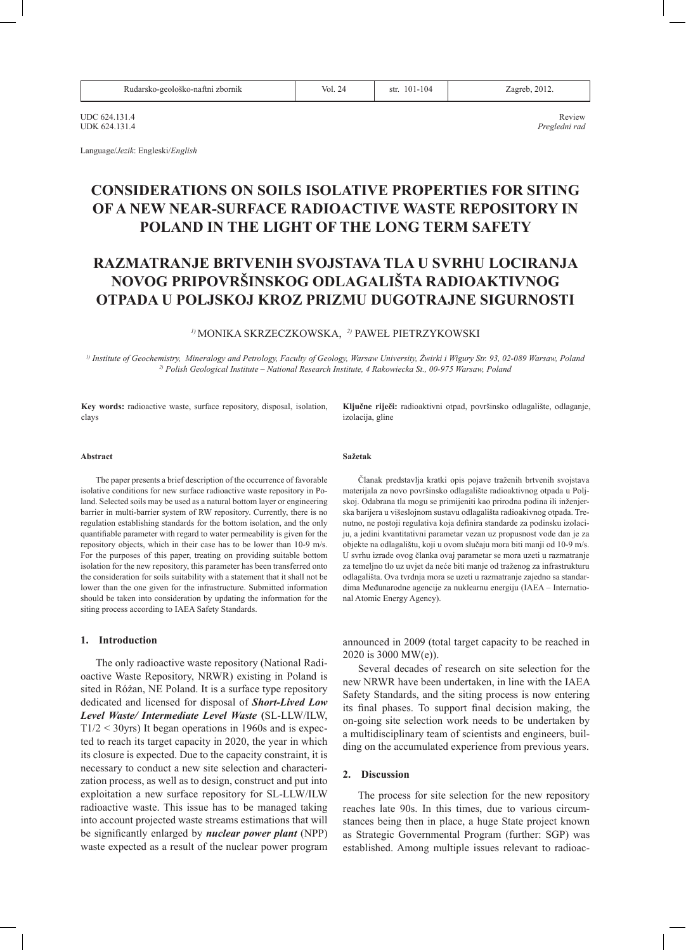| Rudarsko-geološko-naftni zbornik | Vol. 24 | $101 - 104$<br>str. | Zagreb. 2012 |
|----------------------------------|---------|---------------------|--------------|
|----------------------------------|---------|---------------------|--------------|

UDC 624.131.4 Review UDK 624.131.4 *Pregledni rad*

Language/*Jezik*: Engleski/*English*

# **CONSIDERATIONS ON SOILS ISOLATIVE PROPERTIES FOR SITING OF A NEW NEAR-SURFACE RADIOACTIVE WASTE REPOSITORY IN POLAND IN THE LIGHT OF THE LONG TERM SAFETY**

# **RAZMATRANJE BRTVENIH SVOJSTAVA TLA U SVRHU LOCIRANJA NOVOG PRIPOVRŠINSKOG ODLAGALIŠTA RADIOAKTIVNOG OTPADA U POLJSKOJ KROZ PRIZMU DUGOTRAJNE SIGURNOSTI**

# *1)* MONIKA SKRZECZKOWSKA, *2)* PAWEŁ PIETRZYKOWSKI

*1) Institute of Geochemistry, Mineralogy and Petrology, Faculty of Geology, Warsaw University, Żwirki i Wigury Str. 93, 02-089 Warsaw, Poland 2) Polish Geological Institute – National Research Institute, 4 Rakowiecka St., 00-975 Warsaw, Poland*

**Key words:** radioactive waste, surface repository, disposal, isolation, clays

**Ključne riječi:** radioaktivni otpad, površinsko odlagalište, odlaganje, izolacija, gline

#### **Abstract**

The paper presents a brief description of the occurrence of favorable isolative conditions for new surface radioactive waste repository in Poland. Selected soils may be used as a natural bottom layer or engineering barrier in multi-barrier system of RW repository. Currently, there is no regulation establishing standards for the bottom isolation, and the only quantifiable parameter with regard to water permeability is given for the repository objects, which in their case has to be lower than 10-9 m/s. For the purposes of this paper, treating on providing suitable bottom isolation for the new repository, this parameter has been transferred onto the consideration for soils suitability with a statement that it shall not be lower than the one given for the infrastructure. Submitted information should be taken into consideration by updating the information for the siting process according to IAEA Safety Standards.

# **1. Introduction**

The only radioactive waste repository (National Radioactive Waste Repository, NRWR) existing in Poland is sited in Różan, NE Poland. It is a surface type repository dedicated and licensed for disposal of *Short-Lived Low Level Waste/ Intermediate Level Waste* **(**SL-LLW/ILW,  $T1/2 < 30$ yrs) It began operations in 1960s and is expected to reach its target capacity in 2020, the year in which its closure is expected. Due to the capacity constraint, it is necessary to conduct a new site selection and characterization process, as well as to design, construct and put into exploitation a new surface repository for SL-LLW/ILW radioactive waste. This issue has to be managed taking into account projected waste streams estimations that will be significantly enlarged by *nuclear power plant* (NPP) waste expected as a result of the nuclear power program

### **Sažetak**

Članak predstavlja kratki opis pojave traženih brtvenih svojstava materijala za novo površinsko odlagalište radioaktivnog otpada u Poljskoj. Odabrana tla mogu se primijeniti kao prirodna podina ili inženjerska barijera u višeslojnom sustavu odlagališta radioakivnog otpada. Trenutno, ne postoji regulativa koja definira standarde za podinsku izolaciju, a jedini kvantitativni parametar vezan uz propusnost vode dan je za objekte na odlagalištu, koji u ovom slučaju mora biti manji od 10-9 m/s. U svrhu izrade ovog članka ovaj parametar se mora uzeti u razmatranje za temeljno tlo uz uvjet da neće biti manje od traženog za infrastrukturu odlagališta. Ova tvrdnja mora se uzeti u razmatranje zajedno sa standardima Međunarodne agencije za nuklearnu energiju (IAEA – International Atomic Energy Agency).

announced in 2009 (total target capacity to be reached in 2020 is 3000 MW(e)).

Several decades of research on site selection for the new NRWR have been undertaken, in line with the IAEA Safety Standards, and the siting process is now entering its final phases. To support final decision making, the on-going site selection work needs to be undertaken by a multidisciplinary team of scientists and engineers, building on the accumulated experience from previous years.

#### **2. Discussion**

The process for site selection for the new repository reaches late 90s. In this times, due to various circumstances being then in place, a huge State project known as Strategic Governmental Program (further: SGP) was established. Among multiple issues relevant to radioac-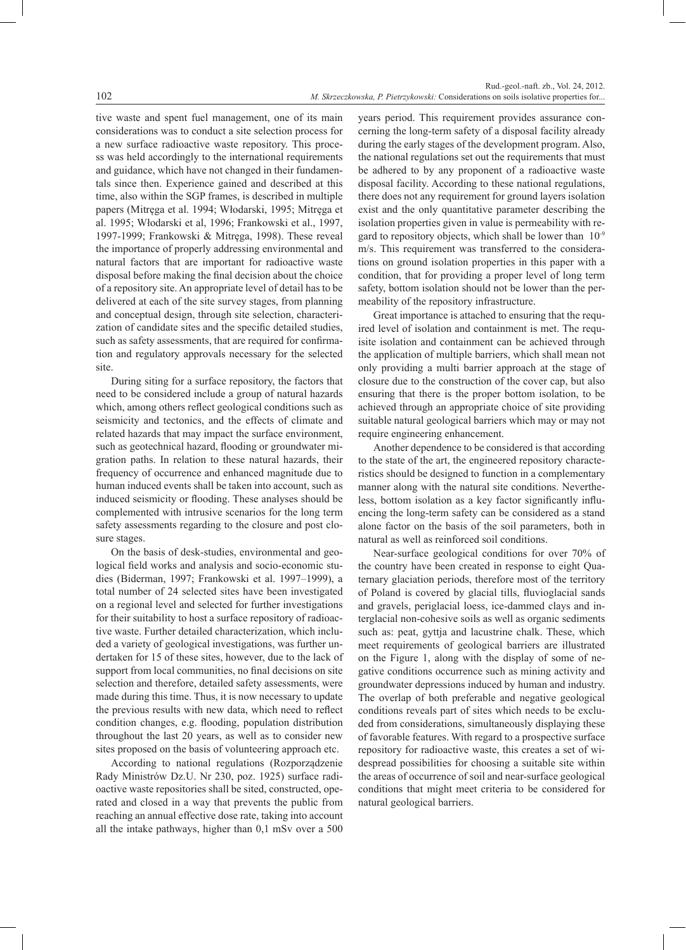tive waste and spent fuel management, one of its main considerations was to conduct a site selection process for a new surface radioactive waste repository. This process was held accordingly to the international requirements and guidance, which have not changed in their fundamentals since then. Experience gained and described at this time, also within the SGP frames, is described in multiple papers (Mitręga et al. 1994; Włodarski, 1995; Mitręga et al. 1995; Włodarski et al, 1996; Frankowski et al., 1997, 1997-1999; Frankowski & Mitręga, 1998). These reveal the importance of properly addressing environmental and natural factors that are important for radioactive waste disposal before making the final decision about the choice of a repository site. An appropriate level of detail has to be delivered at each of the site survey stages, from planning and conceptual design, through site selection, characterization of candidate sites and the specific detailed studies, such as safety assessments, that are required for confirmation and regulatory approvals necessary for the selected site.

During siting for a surface repository, the factors that need to be considered include a group of natural hazards which, among others reflect geological conditions such as seismicity and tectonics, and the effects of climate and related hazards that may impact the surface environment, such as geotechnical hazard, flooding or groundwater migration paths. In relation to these natural hazards, their frequency of occurrence and enhanced magnitude due to human induced events shall be taken into account, such as induced seismicity or flooding. These analyses should be complemented with intrusive scenarios for the long term safety assessments regarding to the closure and post closure stages.

On the basis of desk-studies, environmental and geological field works and analysis and socio-economic studies (Biderman, 1997; Frankowski et al. 1997–1999), a total number of 24 selected sites have been investigated on a regional level and selected for further investigations for their suitability to host a surface repository of radioactive waste. Further detailed characterization, which included a variety of geological investigations, was further undertaken for 15 of these sites, however, due to the lack of support from local communities, no final decisions on site selection and therefore, detailed safety assessments, were made during this time. Thus, it is now necessary to update the previous results with new data, which need to reflect condition changes, e.g. flooding, population distribution throughout the last 20 years, as well as to consider new sites proposed on the basis of volunteering approach etc.

According to national regulations (Rozporządzenie Rady Ministrów Dz.U. Nr 230, poz. 1925) surface radioactive waste repositories shall be sited, constructed, operated and closed in a way that prevents the public from reaching an annual effective dose rate, taking into account all the intake pathways, higher than 0,1 mSv over a 500 years period. This requirement provides assurance concerning the long-term safety of a disposal facility already during the early stages of the development program. Also, the national regulations set out the requirements that must be adhered to by any proponent of a radioactive waste disposal facility. According to these national regulations, there does not any requirement for ground layers isolation exist and the only quantitative parameter describing the isolation properties given in value is permeability with regard to repository objects, which shall be lower than 10-9 m/s. This requirement was transferred to the considerations on ground isolation properties in this paper with a condition, that for providing a proper level of long term safety, bottom isolation should not be lower than the permeability of the repository infrastructure.

Great importance is attached to ensuring that the required level of isolation and containment is met. The requisite isolation and containment can be achieved through the application of multiple barriers, which shall mean not only providing a multi barrier approach at the stage of closure due to the construction of the cover cap, but also ensuring that there is the proper bottom isolation, to be achieved through an appropriate choice of site providing suitable natural geological barriers which may or may not require engineering enhancement.

Another dependence to be considered is that according to the state of the art, the engineered repository characteristics should be designed to function in a complementary manner along with the natural site conditions. Nevertheless, bottom isolation as a key factor significantly influencing the long-term safety can be considered as a stand alone factor on the basis of the soil parameters, both in natural as well as reinforced soil conditions.

Near-surface geological conditions for over 70% of the country have been created in response to eight Quaternary glaciation periods, therefore most of the territory of Poland is covered by glacial tills, fluvioglacial sands and gravels, periglacial loess, ice-dammed clays and interglacial non-cohesive soils as well as organic sediments such as: peat, gyttja and lacustrine chalk. These, which meet requirements of geological barriers are illustrated on the Figure 1, along with the display of some of negative conditions occurrence such as mining activity and groundwater depressions induced by human and industry. The overlap of both preferable and negative geological conditions reveals part of sites which needs to be excluded from considerations, simultaneously displaying these of favorable features. With regard to a prospective surface repository for radioactive waste, this creates a set of widespread possibilities for choosing a suitable site within the areas of occurrence of soil and near-surface geological conditions that might meet criteria to be considered for natural geological barriers.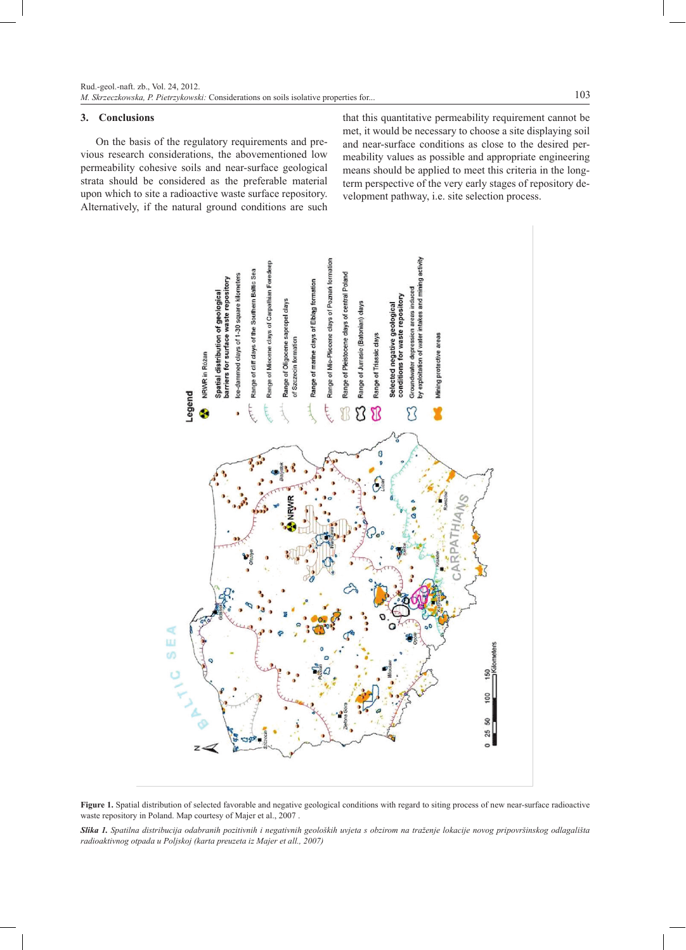# **3. Conclusions**

On the basis of the regulatory requirements and previous research considerations, the abovementioned low permeability cohesive soils and near-surface geological strata should be considered as the preferable material upon which to site a radioactive waste surface repository. Alternatively, if the natural ground conditions are such

that this quantitative permeability requirement cannot be met, it would be necessary to choose a site displaying soil and near-surface conditions as close to the desired permeability values as possible and appropriate engineering means should be applied to meet this criteria in the longterm perspective of the very early stages of repository development pathway, i.e. site selection process.





*Slika 1. Spatilna distribucija odabranih pozitivnih i negativnih geoloških uvjeta s obzirom na traženje lokacije novog pripovršinskog odlagališta radioaktivnog otpada u Poljskoj (karta preuzeta iz Majer et all., 2007)*